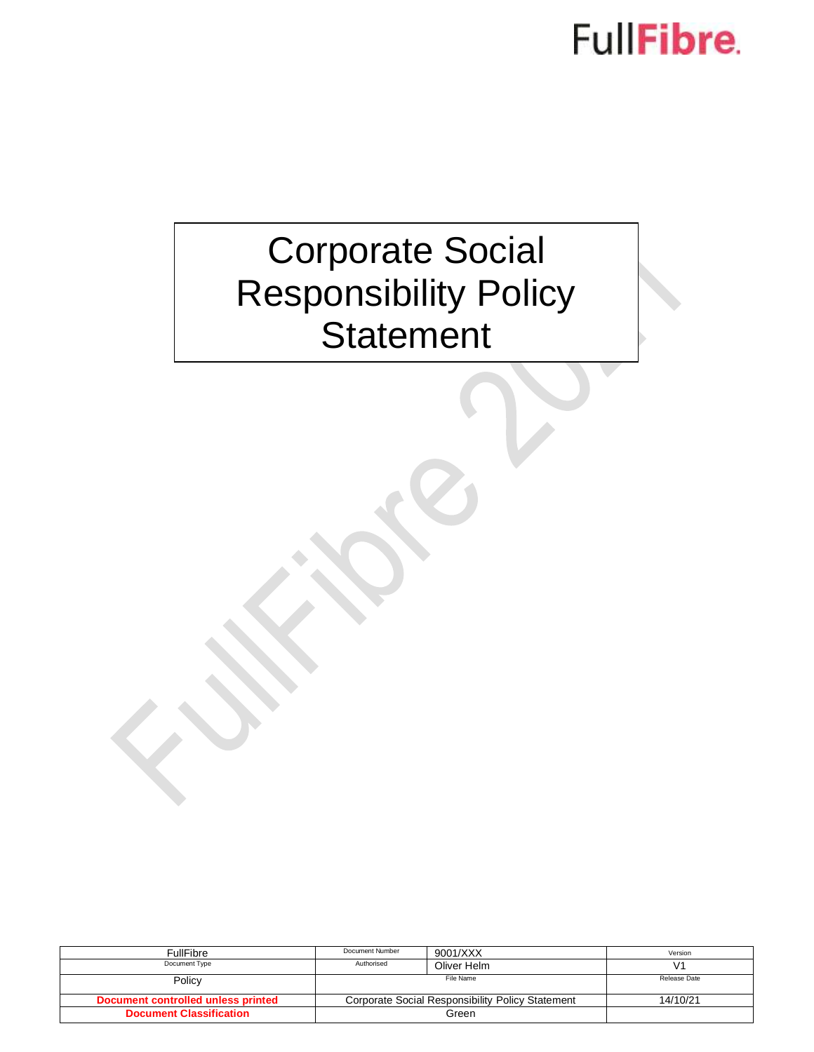## FullFibre.

### Corporate Social Responsibility Policy **Statement**

| <b>FullFibre</b>                   | Document Number                                  | 9001/XXX    | Version      |
|------------------------------------|--------------------------------------------------|-------------|--------------|
| Document Type                      | Authorised                                       | Oliver Helm |              |
| Policy                             | File Name                                        |             | Release Date |
| Document controlled unless printed | Corporate Social Responsibility Policy Statement |             | 14/10/21     |
| <b>Document Classification</b>     | Green                                            |             |              |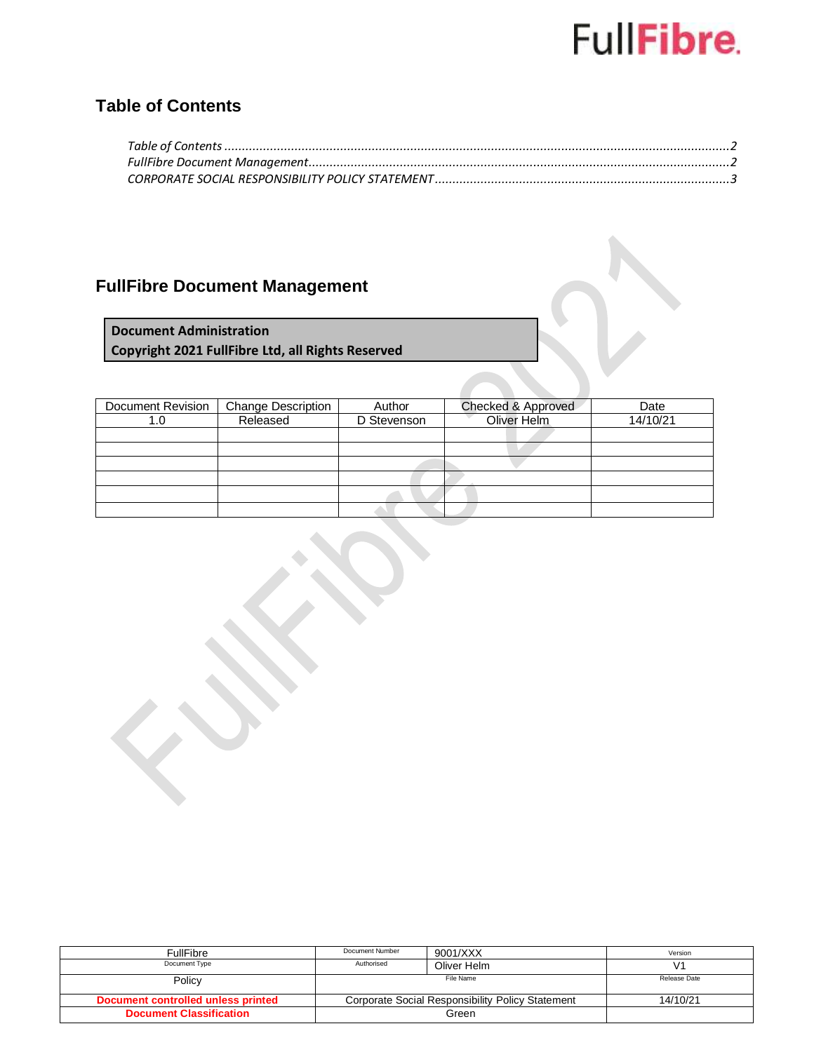# FullFibre.

#### <span id="page-1-0"></span>**Table of Contents**

### <span id="page-1-1"></span>**FullFibre Document Management**

**Document Administration Copyright 2021 FullFibre Ltd, all Rights Reserved**

| Document Revision | <b>Change Description</b> | Author      | Checked & Approved | Date     |
|-------------------|---------------------------|-------------|--------------------|----------|
| 1.0               | Released                  | D Stevenson | Oliver Helm        | 14/10/21 |
|                   |                           |             |                    |          |
|                   |                           |             |                    |          |
|                   |                           |             |                    |          |
|                   |                           |             |                    |          |
|                   |                           |             |                    |          |
|                   |                           |             |                    |          |

| FullFibre                          | Document Number                                  | 9001/XXX    | Version      |
|------------------------------------|--------------------------------------------------|-------------|--------------|
| Document Type                      | Authorised                                       | Oliver Helm |              |
| Policy                             | File Name                                        |             | Release Date |
| Document controlled unless printed | Corporate Social Responsibility Policy Statement |             | 14/10/21     |
| <b>Document Classification</b>     | Green                                            |             |              |